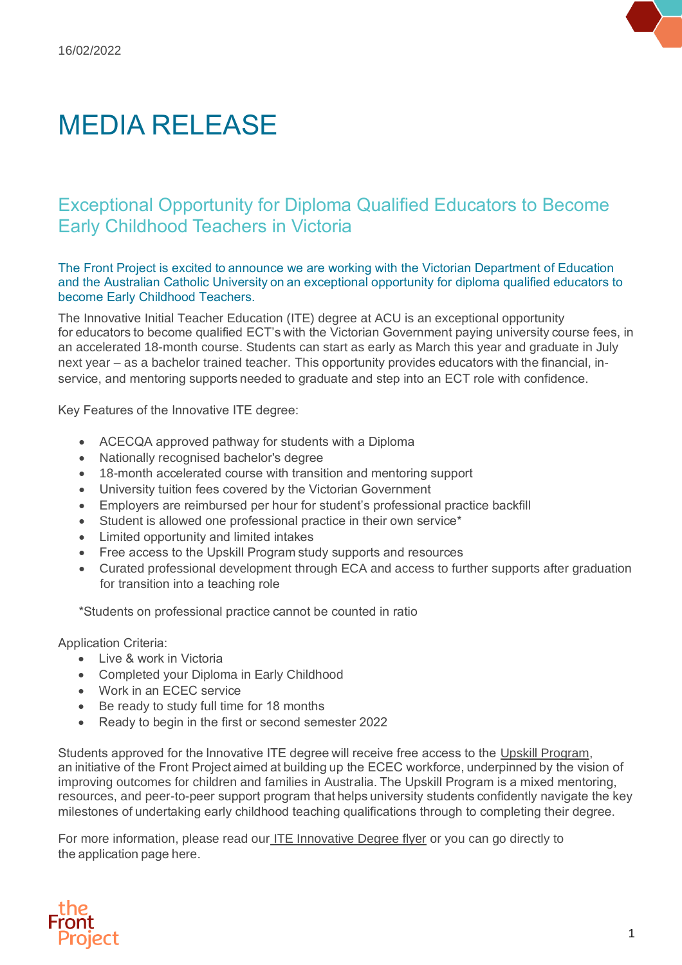## MEDIA RELEASE

## Exceptional Opportunity for Diploma Qualified Educators to Become Early Childhood Teachers in Victoria

The Front Project is excited to announce we are working with the Victorian Department of Education and the Australian Catholic University on an exceptional opportunity for diploma qualified educators to become Early Childhood Teachers. 

The Innovative Initial Teacher Education (ITE) degree at ACU is an exceptional opportunity for educators to become qualified ECT's with the Victorian Government paying university course fees, in an accelerated 18-month course. Students can start as early as March this year and graduate in July next year – as a bachelor trained teacher. This opportunity provides educators with the financial, inservice, and mentoring supports needed to graduate and step into an ECT role with confidence. 

Key Features of the Innovative ITE degree: 

- ACECQA approved pathway for students with a Diploma
- Nationally recognised bachelor's degree
- 18-month accelerated course with transition and mentoring support
- University tuition fees covered by the Victorian Government
- Employers are reimbursed per hour for student's professional practice backfill
- Student is allowed one professional practice in their own service\*
- Limited opportunity and limited intakes
- Free access to the Upskill Program study supports and resources
- Curated professional development through ECA and access to further supports after graduation for transition into a teaching role

\*Students on professional practice cannot be counted in ratio 

Application Criteria: 

- Live & work in Victoria
- Completed your Diploma in Early Childhood
- Work in an ECEC service
- Be ready to study full time for 18 months
- Ready to begin in the first or second semester 2022

Students approved for the Innovative ITE degree will receive free access to the [Upskill Program,](https://www.thefrontproject.org.au/initiatives/upskill) an initiative of the Front Project aimed at building up the ECEC workforce, underpinned by the vision of improving outcomes for children and families in Australia. The Upskill Program is a mixed mentoring, resources, and peer-to-peer support program that helps university students confidently navigate the key milestones of undertaking early childhood teaching qualifications through to completing their degree. 

For more information, please read our [ITE Innovative Degree flyer](https://www.thefrontproject.org.au/images/Innovative_ITE_Recruitment_Flyer_Final_2022.pdf) or you can go directly to the application pag[e here.](https://www.thefrontproject.org.au/ite-application)